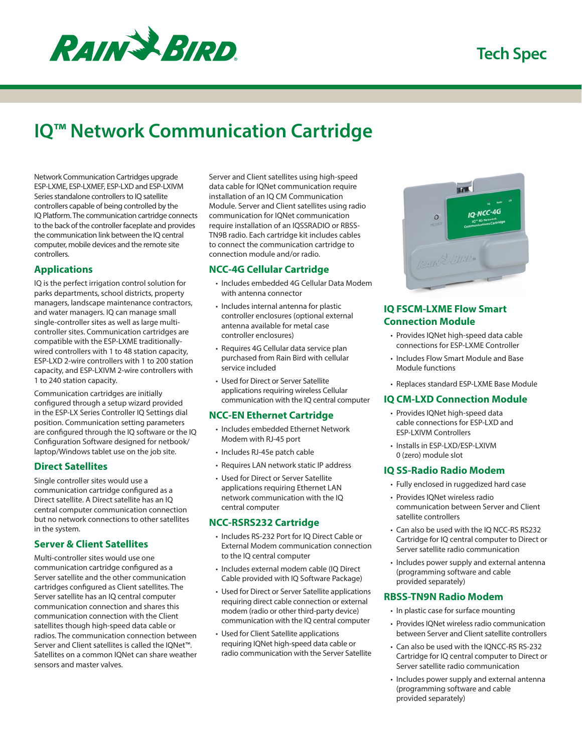

# **IQ™ Network Communication Cartridge**

Network Communication Cartridges upgrade ESP-LXME, ESP-LXMEF, ESP-LXD and ESP-LXIVM Series standalone controllers to IQ satellite controllers capable of being controlled by the IQ Platform. The communication cartridge connects to the back of the controller faceplate and provides the communication link between the IQ central computer, mobile devices and the remote site controllers.

## **Applications**

IQ is the perfect irrigation control solution for parks departments, school districts, property managers, landscape maintenance contractors, and water managers. IQ can manage small single-controller sites as well as large multicontroller sites. Communication cartridges are compatible with the ESP-LXME traditionallywired controllers with 1 to 48 station capacity, ESP-LXD 2-wire controllers with 1 to 200 station capacity, and ESP-LXIVM 2-wire controllers with 1 to 240 station capacity.

Communication cartridges are initially configured through a setup wizard provided in the ESP-LX Series Controller IQ Settings dial position. Communication setting parameters are configured through the IQ software or the IQ Configuration Software designed for netbook/ laptop/Windows tablet use on the job site.

### **Direct Satellites**

Single controller sites would use a communication cartridge configured as a Direct satellite. A Direct satellite has an IQ central computer communication connection but no network connections to other satellites in the system.

## **Server & Client Satellites**

Multi-controller sites would use one communication cartridge configured as a Server satellite and the other communication cartridges configured as Client satellites. The Server satellite has an IQ central computer communication connection and shares this communication connection with the Client satellites though high-speed data cable or radios. The communication connection between Server and Client satellites is called the IQNet™. Satellites on a common IQNet can share weather sensors and master valves.

Server and Client satellites using high-speed data cable for IQNet communication require installation of an IQ CM Communication Module. Server and Client satellites using radio communication for IQNet communication require installation of an IQSSRADIO or RBSS-TN9B radio. Each cartridge kit includes cables to connect the communication cartridge to connection module and/or radio.

## **NCC-4G Cellular Cartridge**

- Includes embedded 4G Cellular Data Modem with antenna connector
- Includes internal antenna for plastic controller enclosures (optional external antenna available for metal case controller enclosures)
- Requires 4G Cellular data service plan purchased from Rain Bird with cellular service included
- Used for Direct or Server Satellite applications requiring wireless Cellular communication with the IQ central computer

## **NCC-EN Ethernet Cartridge**

- Includes embedded Ethernet Network Modem with RJ-45 port
- Includes RJ-45e patch cable
- Requires LAN network static IP address
- Used for Direct or Server Satellite applications requiring Ethernet LAN network communication with the IQ central computer

### **NCC-RSRS232 Cartridge**

- Includes RS-232 Port for IQ Direct Cable or External Modem communication connection to the IQ central computer
- Includes external modem cable (IQ Direct Cable provided with IQ Software Package)
- Used for Direct or Server Satellite applications requiring direct cable connection or external modem (radio or other third-party device) communication with the IQ central computer
- Used for Client Satellite applications requiring IQNet high-speed data cable or radio communication with the Server Satellite



## **IQ FSCM-LXME Flow Smart Connection Module**

- Provides IQNet high-speed data cable connections for ESP-LXME Controller
- Includes Flow Smart Module and Base Module functions
- Replaces standard ESP-LXME Base Module

### **IQ CM-LXD Connection Module**

- Provides IQNet high-speed data cable connections for ESP-LXD and ESP-LXIVM Controllers
- Installs in ESP-LXD/ESP-LXIVM 0 (zero) module slot

### **IQ SS-Radio Radio Modem**

- Fully enclosed in ruggedized hard case
- Provides IQNet wireless radio communication between Server and Client satellite controllers
- Can also be used with the IQ NCC-RS RS232 Cartridge for IQ central computer to Direct or Server satellite radio communication
- Includes power supply and external antenna (programming software and cable provided separately)

### **RBSS-TN9N Radio Modem**

- In plastic case for surface mounting
- Provides IQNet wireless radio communication between Server and Client satellite controllers
- Can also be used with the IQNCC-RS RS-232 Cartridge for IQ central computer to Direct or Server satellite radio communication
- Includes power supply and external antenna (programming software and cable provided separately)